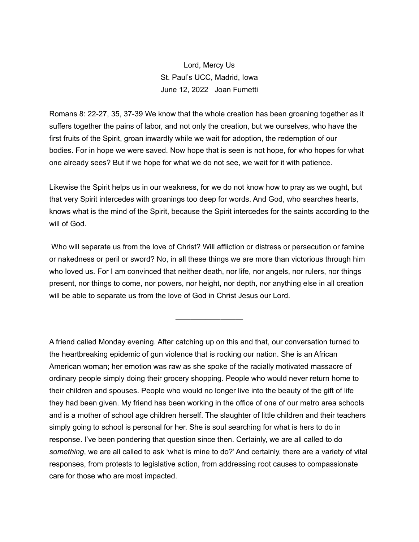Lord, Mercy Us St. Paul's UCC, Madrid, Iowa June 12, 2022 Joan Fumetti

Romans 8: 22-27, 35, 37-39 We know that the whole creation has been groaning together as it suffers together the pains of labor, and not only the creation, but we ourselves, who have the first fruits of the Spirit, groan inwardly while we wait for adoption, the redemption of our bodies. For in hope we were saved. Now hope that is seen is not hope, for who hopes for what one already sees? But if we hope for what we do not see, we wait for it with patience.

Likewise the Spirit helps us in our weakness, for we do not know how to pray as we ought, but that very Spirit intercedes with groanings too deep for words. And God, who searches hearts, knows what is the mind of the Spirit, because the Spirit intercedes for the saints according to the will of God.

 Who will separate us from the love of Christ? Will affliction or distress or persecution or famine or nakedness or peril or sword? No, in all these things we are more than victorious through him who loved us. For I am convinced that neither death, nor life, nor angels, nor rulers, nor things present, nor things to come, nor powers, nor height, nor depth, nor anything else in all creation will be able to separate us from the love of God in Christ Jesus our Lord.

—————————

A friend called Monday evening. After catching up on this and that, our conversation turned to the heartbreaking epidemic of gun violence that is rocking our nation. She is an African American woman; her emotion was raw as she spoke of the racially motivated massacre of ordinary people simply doing their grocery shopping. People who would never return home to their children and spouses. People who would no longer live into the beauty of the gift of life they had been given. My friend has been working in the office of one of our metro area schools and is a mother of school age children herself. The slaughter of little children and their teachers simply going to school is personal for her. She is soul searching for what is hers to do in response. I've been pondering that question since then. Certainly, we are all called to do *something*, we are all called to ask 'what is mine to do?' And certainly, there are a variety of vital responses, from protests to legislative action, from addressing root causes to compassionate care for those who are most impacted.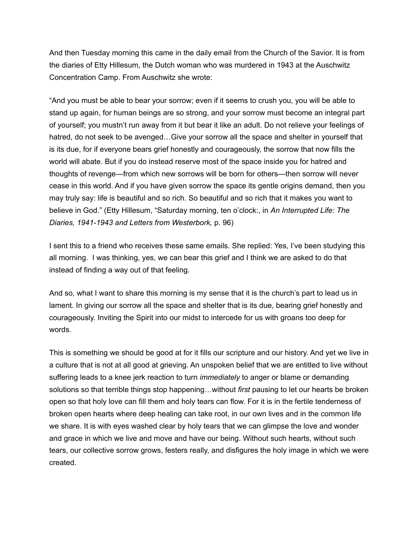And then Tuesday morning this came in the daily email from the Church of the Savior. It is from the diaries of Etty Hillesum, the Dutch woman who was murdered in 1943 at the Auschwitz Concentration Camp. From Auschwitz she wrote:

"And you must be able to bear your sorrow; even if it seems to crush you, you will be able to stand up again, for human beings are so strong, and your sorrow must become an integral part of yourself; you mustn't run away from it but bear it like an adult. Do not relieve your feelings of hatred, do not seek to be avenged…Give your sorrow all the space and shelter in yourself that is its due, for if everyone bears grief honestly and courageously, the sorrow that now fills the world will abate. But if you do instead reserve most of the space inside you for hatred and thoughts of revenge—from which new sorrows will be born for others—then sorrow will never cease in this world. And if you have given sorrow the space its gentle origins demand, then you may truly say: life is beautiful and so rich. So beautiful and so rich that it makes you want to believe in God." (Etty Hillesum, "Saturday morning, ten o'clock:, in *An Interrupted Life: The Diaries, 1941-1943 and Letters from Westerbork,* p. 96)

I sent this to a friend who receives these same emails. She replied: Yes, I've been studying this all morning. I was thinking, yes, we can bear this grief and I think we are asked to do that instead of finding a way out of that feeling.

And so, what I want to share this morning is my sense that it is the church's part to lead us in lament. In giving our sorrow all the space and shelter that is its due, bearing grief honestly and courageously. Inviting the Spirit into our midst to intercede for us with groans too deep for words.

This is something we should be good at for it fills our scripture and our history. And yet we live in a culture that is not at all good at grieving. An unspoken belief that we are entitled to live without suffering leads to a knee jerk reaction to turn *immediately* to anger or blame or demanding solutions so that terrible things stop happening…without *first* pausing to let our hearts be broken open so that holy love can fill them and holy tears can flow. For it is in the fertile tenderness of broken open hearts where deep healing can take root, in our own lives and in the common life we share. It is with eyes washed clear by holy tears that we can glimpse the love and wonder and grace in which we live and move and have our being. Without such hearts, without such tears, our collective sorrow grows, festers really, and disfigures the holy image in which we were created.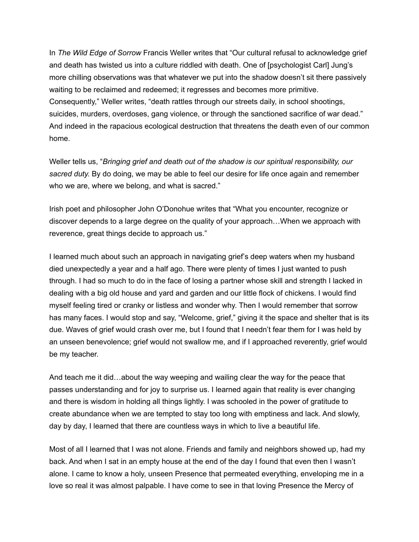In *The Wild Edge of Sorrow* Francis Weller writes that "Our cultural refusal to acknowledge grief and death has twisted us into a culture riddled with death. One of [psychologist Carl] Jung's more chilling observations was that whatever we put into the shadow doesn't sit there passively waiting to be reclaimed and redeemed; it regresses and becomes more primitive. Consequently," Weller writes, "death rattles through our streets daily, in school shootings, suicides, murders, overdoses, gang violence, or through the sanctioned sacrifice of war dead." And indeed in the rapacious ecological destruction that threatens the death even of our common home.

Weller tells us, "*Bringing grief and death out of the shadow is our spiritual responsibility, our sacred duty.* By do doing, we may be able to feel our desire for life once again and remember who we are, where we belong, and what is sacred."

Irish poet and philosopher John O'Donohue writes that "What you encounter, recognize or discover depends to a large degree on the quality of your approach…When we approach with reverence, great things decide to approach us."

I learned much about such an approach in navigating grief's deep waters when my husband died unexpectedly a year and a half ago. There were plenty of times I just wanted to push through. I had so much to do in the face of losing a partner whose skill and strength I lacked in dealing with a big old house and yard and garden and our little flock of chickens. I would find myself feeling tired or cranky or listless and wonder why. Then I would remember that sorrow has many faces. I would stop and say, "Welcome, grief," giving it the space and shelter that is its due. Waves of grief would crash over me, but I found that I needn't fear them for I was held by an unseen benevolence; grief would not swallow me, and if I approached reverently, grief would be my teacher.

And teach me it did…about the way weeping and wailing clear the way for the peace that passes understanding and for joy to surprise us. I learned again that reality is ever changing and there is wisdom in holding all things lightly. I was schooled in the power of gratitude to create abundance when we are tempted to stay too long with emptiness and lack. And slowly, day by day, I learned that there are countless ways in which to live a beautiful life.

Most of all I learned that I was not alone. Friends and family and neighbors showed up, had my back. And when I sat in an empty house at the end of the day I found that even then I wasn't alone. I came to know a holy, unseen Presence that permeated everything, enveloping me in a love so real it was almost palpable. I have come to see in that loving Presence the Mercy of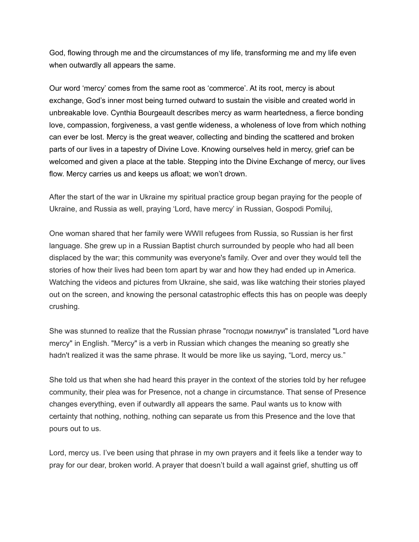God, flowing through me and the circumstances of my life, transforming me and my life even when outwardly all appears the same.

Our word 'mercy' comes from the same root as 'commerce'. At its root, mercy is about exchange, God's inner most being turned outward to sustain the visible and created world in unbreakable love. Cynthia Bourgeault describes mercy as warm heartedness, a fierce bonding love, compassion, forgiveness, a vast gentle wideness, a wholeness of love from which nothing can ever be lost. Mercy is the great weaver, collecting and binding the scattered and broken parts of our lives in a tapestry of Divine Love. Knowing ourselves held in mercy, grief can be welcomed and given a place at the table. Stepping into the Divine Exchange of mercy, our lives flow. Mercy carries us and keeps us afloat; we won't drown.

After the start of the war in Ukraine my spiritual practice group began praying for the people of Ukraine, and Russia as well, praying 'Lord, have mercy' in Russian, Gospodi Pomiluj,

One woman shared that her family were WWII refugees from Russia, so Russian is her first language. She grew up in a Russian Baptist church surrounded by people who had all been displaced by the war; this community was everyone's family. Over and over they would tell the stories of how their lives had been torn apart by war and how they had ended up in America. Watching the videos and pictures from Ukraine, she said, was like watching their stories played out on the screen, and knowing the personal catastrophic effects this has on people was deeply crushing.

She was stunned to realize that the Russian phrase "господи помилуи" is translated "Lord have mercy" in English. "Mercy" is a verb in Russian which changes the meaning so greatly she hadn't realized it was the same phrase. It would be more like us saying, "Lord, mercy us."

She told us that when she had heard this prayer in the context of the stories told by her refugee community, their plea was for Presence, not a change in circumstance. That sense of Presence changes everything, even if outwardly all appears the same. Paul wants us to know with certainty that nothing, nothing, nothing can separate us from this Presence and the love that pours out to us.

Lord, mercy us. I've been using that phrase in my own prayers and it feels like a tender way to pray for our dear, broken world. A prayer that doesn't build a wall against grief, shutting us off